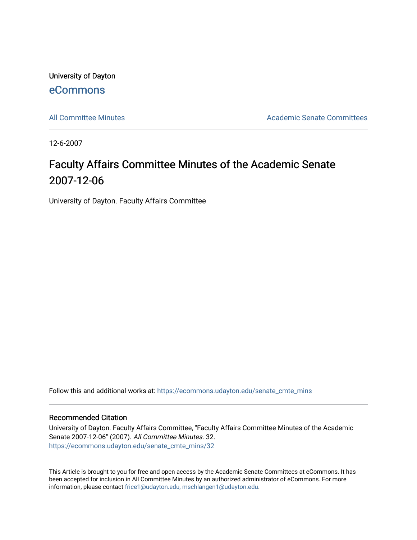University of Dayton [eCommons](https://ecommons.udayton.edu/)

[All Committee Minutes](https://ecommons.udayton.edu/senate_cmte_mins) Academic Senate Committees

12-6-2007

## Faculty Affairs Committee Minutes of the Academic Senate 2007-12-06

University of Dayton. Faculty Affairs Committee

Follow this and additional works at: [https://ecommons.udayton.edu/senate\\_cmte\\_mins](https://ecommons.udayton.edu/senate_cmte_mins?utm_source=ecommons.udayton.edu%2Fsenate_cmte_mins%2F32&utm_medium=PDF&utm_campaign=PDFCoverPages)

## Recommended Citation

University of Dayton. Faculty Affairs Committee, "Faculty Affairs Committee Minutes of the Academic Senate 2007-12-06" (2007). All Committee Minutes. 32. [https://ecommons.udayton.edu/senate\\_cmte\\_mins/32](https://ecommons.udayton.edu/senate_cmte_mins/32?utm_source=ecommons.udayton.edu%2Fsenate_cmte_mins%2F32&utm_medium=PDF&utm_campaign=PDFCoverPages) 

This Article is brought to you for free and open access by the Academic Senate Committees at eCommons. It has been accepted for inclusion in All Committee Minutes by an authorized administrator of eCommons. For more information, please contact [frice1@udayton.edu, mschlangen1@udayton.edu](mailto:frice1@udayton.edu,%20mschlangen1@udayton.edu).